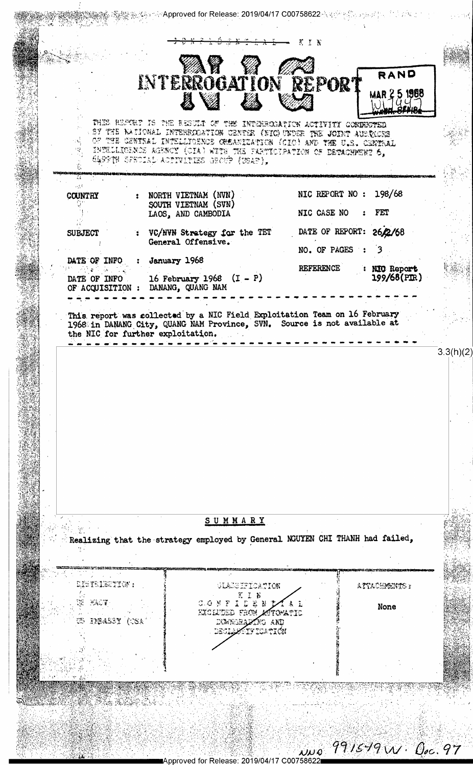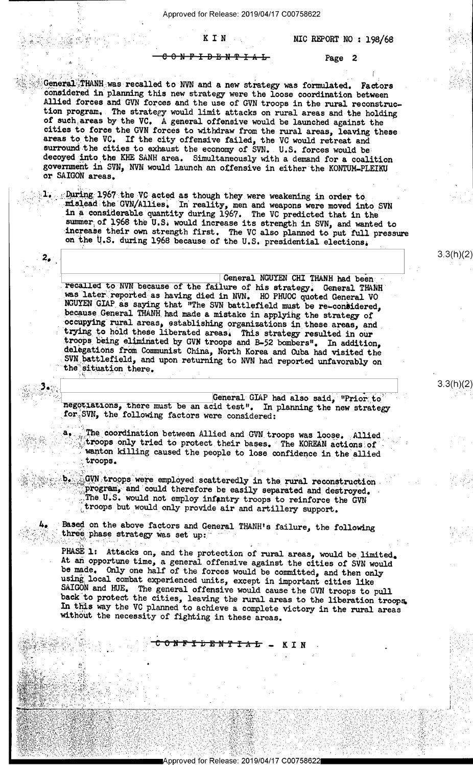NIC REPORT NO: 198/68

<del>0 N F</del> <del>I D E N T I A L</del>

KIN

Page 2

General THANH was recalled to NVN and a new strategy was formulated. Factors considered in planning this new strategy were the loose coordination between Allied forces and GVN forces and the use of GVN troops in the rural reconstruction program. The strategy would limit attacks on rural areas and the holding of such areas by the VC. A general offensive would be launched against the cities to force the GVN forces to withdraw from the rural areas, leaving these areas to the VC. If the city offensive failed, the VC would retreat and surround the cities to exhaust the economy of SVN. U.S. forces would be decoyed into the KHE SANH area. Simultaneously with a demand for a coalition government in SVN, NVN would launch an offensive in either the KONTUM-PLEIKU or SAIGON areas.

1. During 1967 the VC acted as though they were weakening in order to mislead the GVN/Allies. In reality, men and weapons were moved into SVN in a considerable quantity during 1967. The VC predicted that in the summer of 1968 the U.S. would increase its strength in SVN, and wanted to increase their own strength first. The VC also planned to put full pressure on the U.S. during 1968 because of the U.S. presidential elections.

General NGUYEN CHI THANH had been recalled to NVN because of the failure of his strategy. General THANH was later reported as having died in NVN. HO PHUOC quoted General VO NGUYEN GIAP as saying that "The SVN battlefield must be re-considered, because General THANH had made a mistake in applying the strategy of occupying rural areas, establishing organizations in these areas, and trying to hold these liberated areas. This strategy resulted in our troops being eliminated by GVN troops and B-52 bombers". In addition, delegations from Communist China, North Korea and Cuba had visited the SVN battlefield, and upon returning to NVN had reported unfavorably on the situation there.

 $2.1$ 

General GIAP had also said, "Prior to negotiations, there must be an acid test". In planning the new strategy for SVN, the following factors were considered:

The coordination between Allied and GVN troops was loose. Allied troops only tried to protect their bases. The KOREAN actions of wanton killing caused the people to lose confidence in the allied troops.

GVN troops were employed scatteredly in the rural reconstruction. program, and could therefore be easily separated and destroyed. The U.S. would not employ infantry troops to reinforce the GVN troops but would only provide air and artillery support.

Based on the above factors and General THANH's failure, the following three phase strategy was set up:

Attacks on, and the protection of rural areas, would be limited. PHASE 1: At an opportune time, a general offensive against the cities of SVN would<br>be made. Only one half of the forces would be committed, and then only using local combat experienced units, except in important cities like SAIGON and HUE. The general offensive would cause the GVN troops to pull back to protect the cities, leaving the rural areas to the liberation troops. In this way the VC planned to achieve a complete victory in the rural areas without the necessity of fighting in these areas.

<del>ONFIDENTIAL</del>

 $3.3(h)(2)$